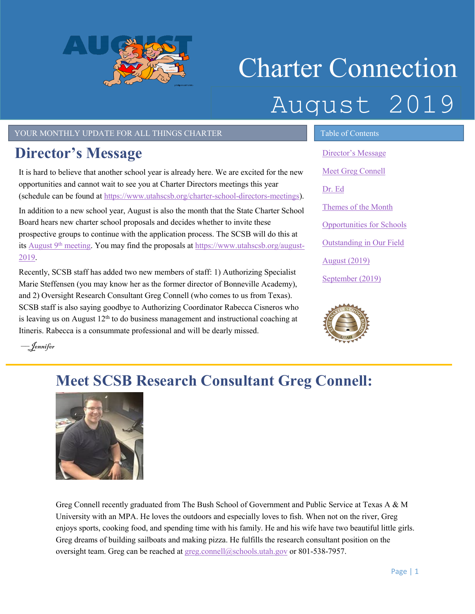

# Charter Connection August 2019

YOUR MONTHLY UPDATE FOR ALL THINGS CHARTER TABLE OF Contents

# <span id="page-0-0"></span>**Director's Message**

It is hard to believe that another school year is already here. We are excited for the new opportunities and cannot wait to see you at Charter Directors meetings this year (schedule can be found at [https://www.utahscsb.org/charter-school-directors-meetings\)](https://www.utahscsb.org/charter-school-directors-meetings).

In addition to a new school year, August is also the month that the State Charter School Board hears new charter school proposals and decides whether to invite these prospective groups to continue with the application process. The SCSB will do this at its August  $9<sup>th</sup>$  meeting. You may find the proposals a[t https://www.utahscsb.org/august-](https://www.utahscsb.org/august-2019)[2019.](https://www.utahscsb.org/august-2019)

Recently, SCSB staff has added two new members of staff: 1) Authorizing Specialist Marie Steffensen (you may know her as the former director of Bonneville Academy), and 2) Oversight Research Consultant Greg Connell (who comes to us from Texas). SCSB staff is also saying goodbye to Authorizing Coordinator Rabecca Cisneros who is leaving us on August  $12<sup>th</sup>$  to do business management and instructional coaching at Itineris. Rabecca is a consummate professional and will be dearly missed.

[Director's Message](#page-0-0) [Meet Greg Connell](#page-0-1) [Dr. Ed](#page-1-0) [Themes of the Month](#page-1-1) [Opportunities for Schools](#page-2-0)  [Outstanding in Our Field](#page-2-1) [August](#page-3-0) (2019) [September \(2019\)](#page-3-1)



––Jennifer

# **Meet SCSB Research Consultant Greg Connell:**

<span id="page-0-1"></span>

Greg Connell recently graduated from The Bush School of Government and Public Service at Texas A & M University with an MPA. He loves the outdoors and especially loves to fish. When not on the river, Greg enjoys sports, cooking food, and spending time with his family. He and his wife have two beautiful little girls. Greg dreams of building sailboats and making pizza. He fulfills the research consultant position on the oversight team. Greg can be reached at [greg.connell@schools.utah.gov](mailto:greg.connell@schools.utah.gov) or 801-538-7957.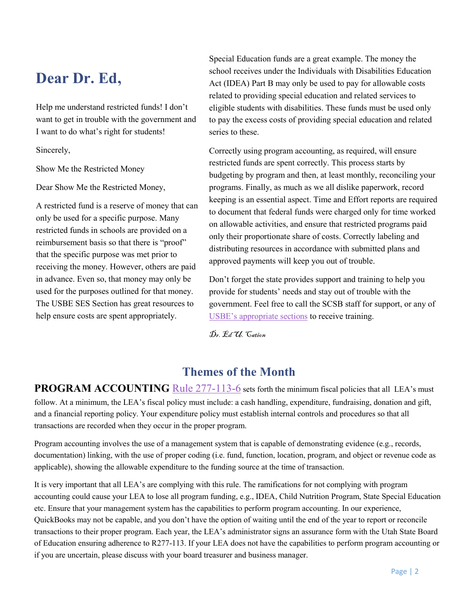## <span id="page-1-0"></span>**Dear Dr. Ed,**

Help me understand restricted funds! I don't want to get in trouble with the government and I want to do what's right for students!

Sincerely,

Show Me the Restricted Money

Dear Show Me the Restricted Money,

A restricted fund is a reserve of money that can only be used for a specific purpose. Many restricted funds in schools are provided on a reimbursement basis so that there is "proof" that the specific purpose was met prior to receiving the money. However, others are paid in advance. Even so, that money may only be used for the purposes outlined for that money. The USBE SES Section has great resources to help ensure costs are spent appropriately.

 school receives under the Individuals with Disabilities Education related to providing special education and related services to Special Education funds are a great example. The money the Act (IDEA) Part B may only be used to pay for allowable costs eligible students with disabilities. These funds must be used only to pay the excess costs of providing special education and related series to these.

Correctly using program accounting, as required, will ensure restricted funds are spent correctly. This process starts by budgeting by program and then, at least monthly, reconciling your programs. Finally, as much as we all dislike paperwork, record keeping is an essential aspect. Time and Effort reports are required to document that federal funds were charged only for time worked on allowable activities, and ensure that restricted programs paid only their proportionate share of costs. Correctly labeling and distributing resources in accordance with submitted plans and approved payments will keep you out of trouble.

Don't forget the state provides support and training to help you provide for students' needs and stay out of trouble with the government. Feel free to call the SCSB staff for support, or any of USBE's [appropriate sections](https://schools.utah.gov/departments) to receive training.

Dr. Ed U. Cation

### **Themes of the Month**

<span id="page-1-1"></span>**PROGRAM ACCOUNTING** [Rule 277-113-6](https://rules.utah.gov/publicat/code/r277/r277-113.htm#T6) sets forth the minimum fiscal policies that all LEA's must follow. At a minimum, the LEA's fiscal policy must include: a cash handling, expenditure, fundraising, donation and gift, and a financial reporting policy. Your expenditure policy must establish internal controls and procedures so that all transactions are recorded when they occur in the proper program.

Program accounting involves the use of a management system that is capable of demonstrating evidence (e.g., records, documentation) linking, with the use of proper coding (i.e. fund, function, location, program, and object or revenue code as applicable), showing the allowable expenditure to the funding source at the time of transaction.

It is very important that all LEA's are complying with this rule. The ramifications for not complying with program accounting could cause your LEA to lose all program funding, e.g., IDEA, Child Nutrition Program, State Special Education etc. Ensure that your management system has the capabilities to perform program accounting. In our experience, QuickBooks may not be capable, and you don't have the option of waiting until the end of the year to report or reconcile transactions to their proper program. Each year, the LEA's administrator signs an assurance form with the Utah State Board of Education ensuring adherence to R277-113. If your LEA does not have the capabilities to perform program accounting or if you are uncertain, please discuss with your board treasurer and business manager.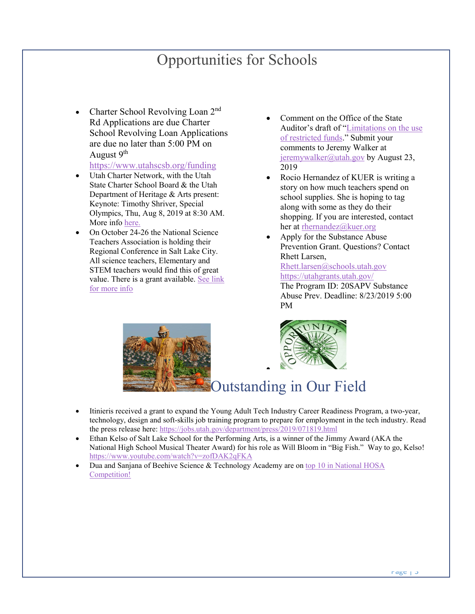# Opportunities for Schools

- <span id="page-2-0"></span>Charter School Revolving Loan 2<sup>nd</sup> Rd Applications are due Charter School Revolving Loan Applications are due no later than 5:00 PM on August 9<sup>th</sup> <https://www.utahscsb.org/funding>
- Utah Charter Network, with the Utah State Charter School Board & the Utah Department of Heritage & Arts present: Keynote: Timothy Shriver, Special Olympics, Thu, Aug 8, 2019 at 8:30 AM. More info [here.](https://utcharternetwork.com/)
- On October 24-26 the National Science Teachers Association is holding their Regional Conference in Salt Lake City. All science teachers, Elementary and STEM teachers would find this of great value. There is a grant available. See link [for more info](https://twitter.com/UtahSCSB/status/1108820864244555776)
- Comment on the Office of the State Auditor's draft of "Limitations on the use of restricted funds." Submit your comments to Jeremy Walker at [jeremywalker@utah.gov](mailto:jeremywalker@utah.gov) by August 23, 2019
- Rocio Hernandez of KUER is writing a story on how much teachers spend on school supplies. She is hoping to tag along with some as they do their shopping. If you are interested, contact her at [rhernandez@kuer.org](mailto:rhernandez@kuer.org)
- Apply for the Substance Abuse Prevention Grant. Questions? Contact Rhett Larsen, [Rhett.larsen@schools.utah.gov](mailto:Rhett.larsen@schools.utah.gov) <https://utahgrants.utah.gov/>

The Program ID: 20SAPV Substance Abuse Prev. Deadline: 8/23/2019 5:00 PM

<span id="page-2-1"></span>

# Outstanding in Our Field

•

- Itinieris received a grant to expand the Young Adult Tech Industry Career Readiness Program, a two-year, technology, design and soft-skills job training program to prepare for employment in the tech industry. Read the press release here:<https://jobs.utah.gov/department/press/2019/071819.html>
- Ethan Kelso of Salt Lake School for the Performing Arts, is a winner of the Jimmy Award (AKA the National High School Musical Theater Award) for his role as Will Bloom in "Big Fish." Way to go, Kelso! <https://www.youtube.com/watch?v=zofDAK2qFKA>
- <span id="page-2-2"></span>• Dua and Sanjana of Beehive Science & Technology Academy are on [top 10 in National HOSA](https://twitter.com/BeehiveAcademy/status/1143168187195772928?s=20)  [Competition!](https://twitter.com/BeehiveAcademy/status/1143168187195772928?s=20)